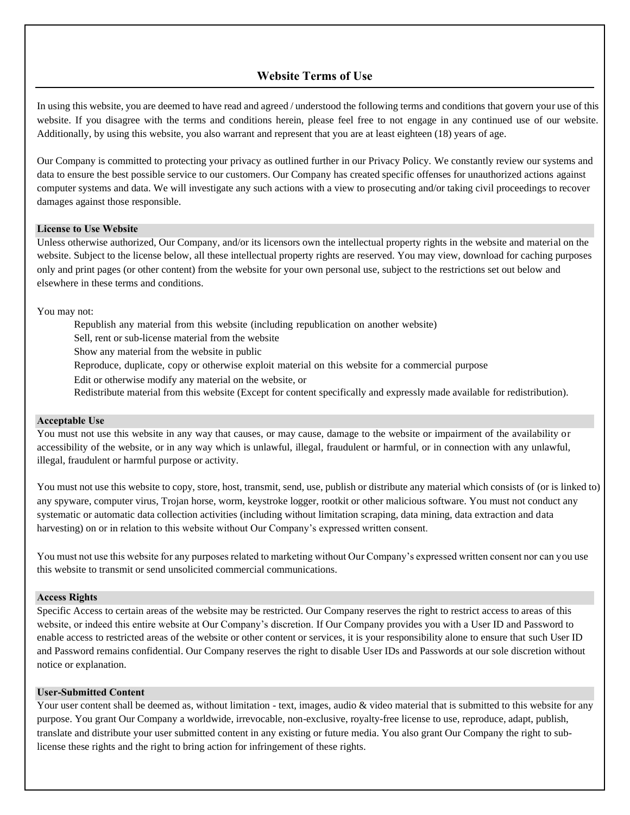# **Website Terms of Use**

In using this website, you are deemed to have read and agreed / understood the following terms and conditions that govern your use of this website. If you disagree with the terms and conditions herein, please feel free to not engage in any continued use of our website. Additionally, by using this website, you also warrant and represent that you are at least eighteen (18) years of age.

Our Company is committed to protecting your privacy as outlined further in our Privacy Policy. We constantly review our systems and data to ensure the best possible service to our customers. Our Company has created specific offenses for unauthorized actions against computer systems and data. We will investigate any such actions with a view to prosecuting and/or taking civil proceedings to recover damages against those responsible.

## **License to Use Website**

Unless otherwise authorized, Our Company, and/or its licensors own the intellectual property rights in the website and material on the website. Subject to the license below, all these intellectual property rights are reserved. You may view, download for caching purposes only and print pages (or other content) from the website for your own personal use, subject to the restrictions set out below and elsewhere in these terms and conditions.

You may not:

- Republish any material from this website (including republication on another website)
- Sell, rent or sub-license material from the website
- Show any material from the website in public
- Reproduce, duplicate, copy or otherwise exploit material on this website for a commercial purpose
- Edit or otherwise modify any material on the website, or
- Redistribute material from this website (Except for content specifically and expressly made available for redistribution).

# **Acceptable Use**

You must not use this website in any way that causes, or may cause, damage to the website or impairment of the availability or accessibility of the website, or in any way which is unlawful, illegal, fraudulent or harmful, or in connection with any unlawful, illegal, fraudulent or harmful purpose or activity.

You must not use this website to copy, store, host, transmit, send, use, publish or distribute any material which consists of (or is linked to) any spyware, computer virus, Trojan horse, worm, keystroke logger, rootkit or other malicious software. You must not conduct any systematic or automatic data collection activities (including without limitation scraping, data mining, data extraction and data harvesting) on or in relation to this website without Our Company's expressed written consent.

You must not use this website for any purposes related to marketing without Our Company's expressed written consent nor can you use this website to transmit or send unsolicited commercial communications.

#### **Access Rights**

Specific Access to certain areas of the website may be restricted. Our Company reserves the right to restrict access to areas of this website, or indeed this entire website at Our Company's discretion. If Our Company provides you with a User ID and Password to enable access to restricted areas of the website or other content or services, it is your responsibility alone to ensure that such User ID and Password remains confidential. Our Company reserves the right to disable User IDs and Passwords at our sole discretion without notice or explanation.

### **User-Submitted Content**

Your user content shall be deemed as, without limitation - text, images, audio & video material that is submitted to this website for any purpose. You grant Our Company a worldwide, irrevocable, non-exclusive, royalty-free license to use, reproduce, adapt, publish, translate and distribute your user submitted content in any existing or future media. You also grant Our Company the right to sublicense these rights and the right to bring action for infringement of these rights.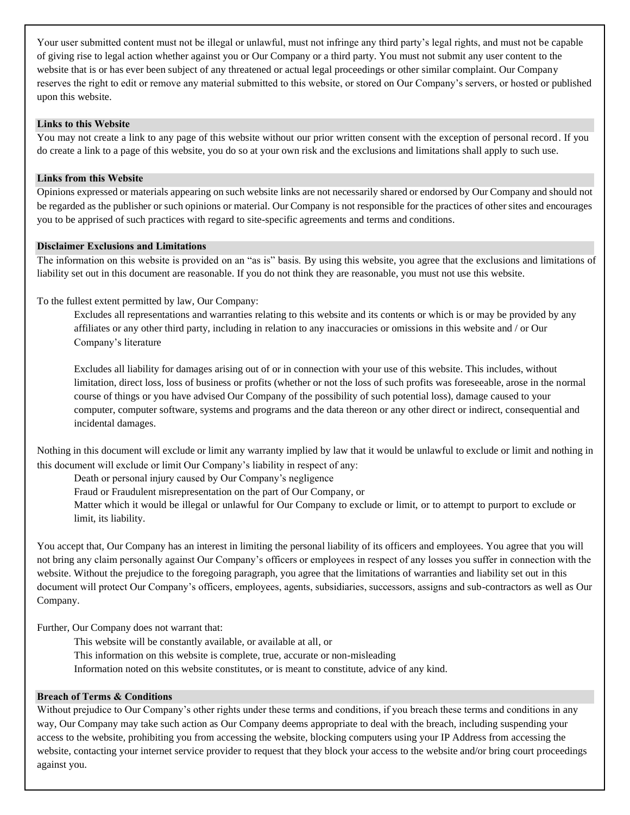Your user submitted content must not be illegal or unlawful, must not infringe any third party's legal rights, and must not be capable of giving rise to legal action whether against you or Our Company or a third party. You must not submit any user content to the website that is or has ever been subject of any threatened or actual legal proceedings or other similar complaint. Our Company reserves the right to edit or remove any material submitted to this website, or stored on Our Company's servers, or hosted or published upon this website.

## **Links to this Website**

You may not create a link to any page of this website without our prior written consent with the exception of personal record. If you do create a link to a page of this website, you do so at your own risk and the exclusions and limitations shall apply to such use.

#### **Links from this Website**

Opinions expressed or materials appearing on such website links are not necessarily shared or endorsed by Our Company and should not be regarded as the publisher or such opinions or material. Our Company is not responsible for the practices of other sites and encourages you to be apprised of such practices with regard to site-specific agreements and terms and conditions.

### **Disclaimer Exclusions and Limitations**

The information on this website is provided on an "as is" basis. By using this website, you agree that the exclusions and limitations of liability set out in this document are reasonable. If you do not think they are reasonable, you must not use this website.

To the fullest extent permitted by law, Our Company:

Excludes all representations and warranties relating to this website and its contents or which is or may be provided by any affiliates or any other third party, including in relation to any inaccuracies or omissions in this website and / or Our Company's literature

Excludes all liability for damages arising out of or in connection with your use of this website. This includes, without limitation, direct loss, loss of business or profits (whether or not the loss of such profits was foreseeable, arose in the normal course of things or you have advised Our Company of the possibility of such potential loss), damage caused to your computer, computer software, systems and programs and the data thereon or any other direct or indirect, consequential and incidental damages.

Nothing in this document will exclude or limit any warranty implied by law that it would be unlawful to exclude or limit and nothing in this document will exclude or limit Our Company's liability in respect of any:

Death or personal injury caused by Our Company's negligence

Fraud or Fraudulent misrepresentation on the part of Our Company, or

Matter which it would be illegal or unlawful for Our Company to exclude or limit, or to attempt to purport to exclude or limit, its liability.

You accept that, Our Company has an interest in limiting the personal liability of its officers and employees. You agree that you will not bring any claim personally against Our Company's officers or employees in respect of any losses you suffer in connection with the website. Without the prejudice to the foregoing paragraph, you agree that the limitations of warranties and liability set out in this document will protect Our Company's officers, employees, agents, subsidiaries, successors, assigns and sub-contractors as well as Our Company.

Further, Our Company does not warrant that:

- This website will be constantly available, or available at all, or
- This information on this website is complete, true, accurate or non-misleading
- Information noted on this website constitutes, or is meant to constitute, advice of any kind.

# **Breach of Terms & Conditions**

Without prejudice to Our Company's other rights under these terms and conditions, if you breach these terms and conditions in any way, Our Company may take such action as Our Company deems appropriate to deal with the breach, including suspending your access to the website, prohibiting you from accessing the website, blocking computers using your IP Address from accessing the website, contacting your internet service provider to request that they block your access to the website and/or bring court proceedings against you.